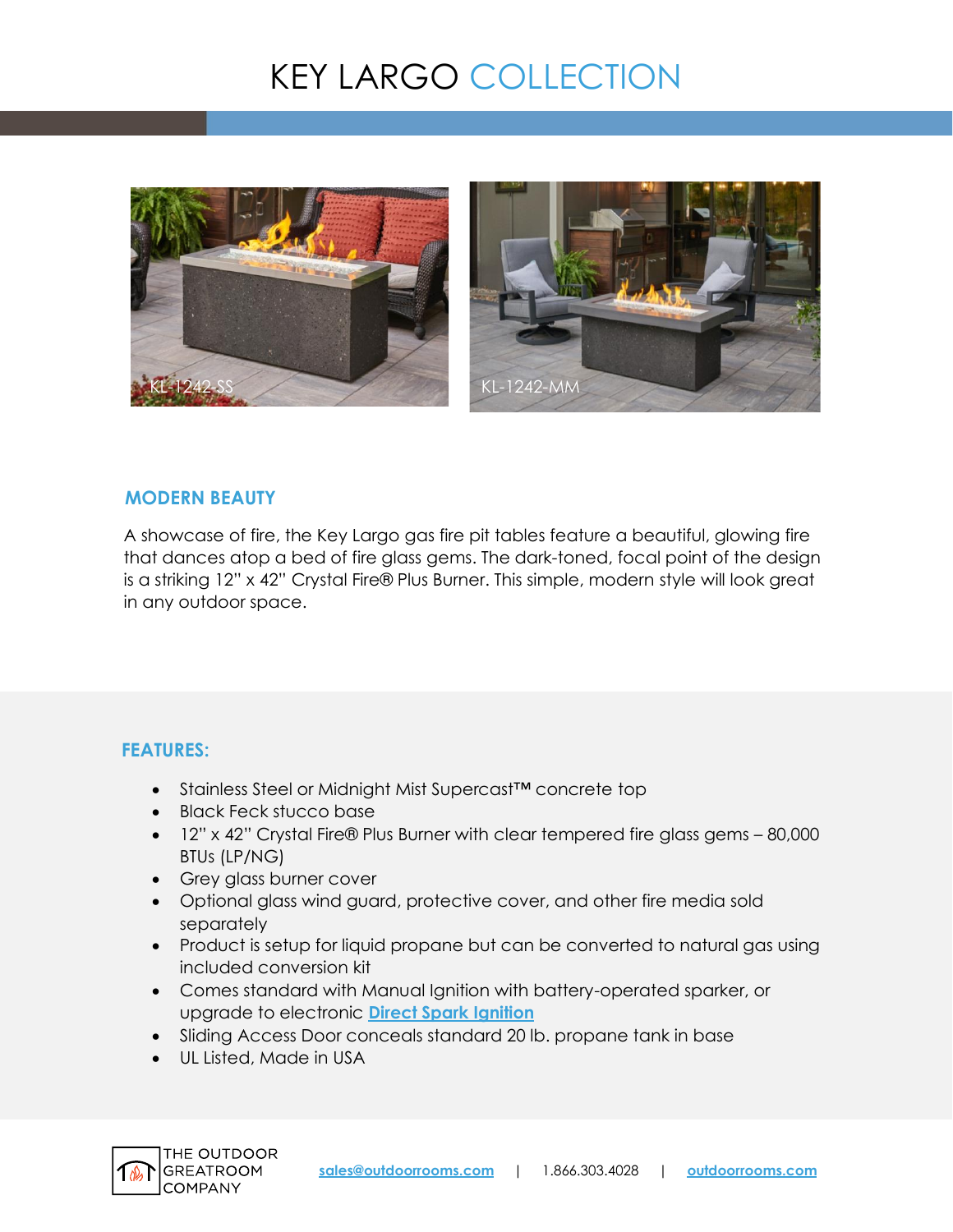# KEY LARGO COLLECTION





#### **MODERN BEAUTY**

A showcase of fire, the Key Largo gas fire pit tables feature a beautiful, glowing fire that dances atop a bed of fire glass gems. The dark-toned, focal point of the design is a striking 12" x 42" Crystal Fire® Plus Burner. This simple, modern style will look great in any outdoor space.

## **FEATURES:**

- Stainless Steel or Midnight Mist Supercast™ concrete top
- Black Feck stucco base
- 12" x 42" Crystal Fire® Plus Burner with clear tempered fire glass gems 80,000 BTUs (LP/NG)
- Grey glass burner cover
- Optional glass wind guard, protective cover, and other fire media sold separately
- Product is setup for liquid propane but can be converted to natural gas using included conversion kit
- Comes standard with Manual Ignition with battery-operated sparker, or upgrade to electronic **[Direct Spark Ignition](https://www.outdoorrooms.com/sites/default/files/files/direct-spark-ignition-info-sheet.pdf)**
- Sliding Access Door conceals standard 20 lb. propane tank in base
- UL Listed, Made in USA